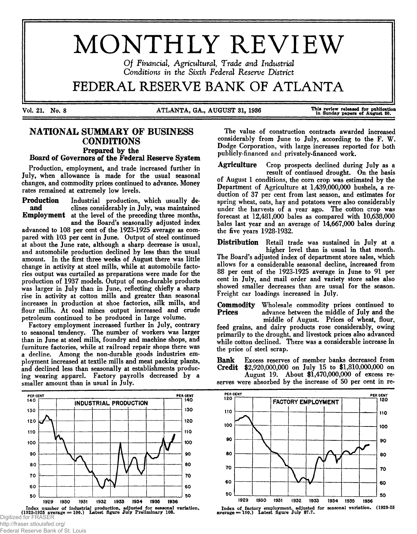# MONTHLY REVIEW

*O f Financial, Agricultural, Trade and Industrial* Conditions in the Sixth Federal Reserve District

# FEDERAL RESERVE BANK OF ATLANTA

Vol. 21. No. 8 MILANTA, GA., AUGUST 31, 1936 This review released for publication This review released for publication

## **NATIONAL SUMMARY OF BUSINESS CONDITIONS** Prepared by the

### Board of Governors of the Federal Reserve System

Production, employment, and trade increased further in July, when allowance is made for the usual seasonal changes, and commodity prices continued to advance. Money rates remained at extremely low levels.

Production Industrial production, which usually deand clines considerably in July, was maintained Employment at the level of the preceding three months,

and the Board's seasonally adjusted index advanced to 108 per cent of the 1923-1925 average as compared with 103 per cent in June. Output of steel continued at about the June rate, although a sharp decrease is usual, and automobile production declined by less than the usual amount. In the first three weeks of August there was little change in activity at steel mills, while at automobile factories output was curtailed as preparations were made for the production of 1937 models. Output of non-durable products was larger in July than in June, reflecting chiefly a sharp rise in activity at cotton mills and greater than seasonal increases in production at shoe factories, silk mills, and flour mills. At coal mines output increased and crude petroleum continued to be produced in large volume.

Factory employment increased further in July, contrary to seasonal tendency. The number of workers was larger than in June at steel mills, foundry and machine shops, and furniture factories, while at railroad repair shops there was a decline. Among the non-durable goods industries employment increased at textile mills and meat packing plants, and declined less than seasonally at establishments producing wearing apparel. Factory payrolls decreased by a smaller amount than is usual in July.

PER CENT PER CENT PER CENT INDUSTRIAL PRODUCTION 130 130 120 120 110 110 100 100 90 90 80 80 70 70 60 60 50 50 1929 1930 1931 1932 1933 1934 1935 1936 Index number of industrial production, adjusted for sessonal variation.<br>(1923-1925 average = 100.) Latest figure July Preliminary 108. Digitized for FRASER

http://fraser.stlouisfed.org/

Federal Reserve Bank of St. Louis

The value of construction contracts awarded increased considerably from June to July, according to the F. W. Dodge Corporation, with large increases reported for both publicly-financed and privately-financed work.

Agriculture Crop prospects declined during July as a result of continued drought. On the basis of August 1 conditions, the corn crop was estimated by the Department of Agriculture at 1,439,000,000 bushels, a reduction of 37 per cent from last season, and estimates for spring wheat, oats, hay and potatoes were also considerably under the harvests of a year ago. The cotton crop was forecast at 12,481,000 bales as compared with 10,638,000 bales last year and an average of 14,667,000 bales during the five years 1928-1932.

Distribution Retail trade was sustained in July at a higher level than is usual in that month. The Board's adjusted index of department store sales, which allows for a considerable seasonal decline, increased from 88 per cent of the 1923-1925 average in June to 91 per cent in July, and mail order and variety store sales also showed smaller decreases than are usual for the season. Freight car loadings increased in July.

**Commodity** Wholesale commodity prices continued to **Prices** advance between the middle of July and the advance between the middle of July and the middle of August. Prices of wheat, flour, feed grains, and dairy products rose considerably, owing primarily to the drought, and livestock prices also advanced while cotton declined. There was a considerable increase in the price of steel scrap.

Bank Excess reserves of member banks decreased from Credit \$2,920,000,000 on July 15 to \$1,810,000,000 on

August 19. About \$1,470,000,000 of excess reserves were absorbed by the increase of 50 per cent in re-



Index of factory employment, adjusted for seasonal variation. (1923-25<br>average = 100.) Latest figure July 87.7.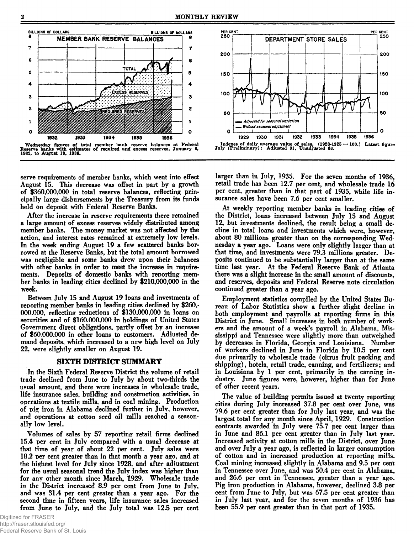

serve requirements of member banks, which went into effect August 15. This decrease was offset in part by a growth of \$360,000,000 in total reserve balances, reflecting principally large disbursements by the Treasury from its funds held on deposit with Federal Reserve Banks.

After the increase in reserve requirements there remained a large amount of excess reserves widely distributed among member banks. The money market was not affected by the action, and interest rates remained at extremely low levels. In the week ending August 19 a few scattered banks borrowed at the Reserve Banks, but the total amount borrowed was negligible and some banks drew upon their balances with other banks in order to meet the increase in requirements. Deposits of domestic banks with reporting member banks in leading cities declined by \$**210**,**600,000** in the week.

Between July 15 and August 19 loans and investments of reporting member banks in leading cities declined by \$260,- 000.000, reflecting reductions of \$130,000,000 in loans on securities and of \$160,000,000 in holdings of United States Government direct obligations, partly offset by an increase of \$60,000,000 in other loans to customers. Adjusted demand deposits, which increased to a new high level on July 22, were slightly smaller on August 19.

#### SIXTH DISTRICT SUMMARY

In the Sixth Federal Reserve District the volume of retail trade declined from June to July by about two-thirds the usual amount, and there were increases in wholesale trade, life insurance sales, building and construction activities, in operations at textile mills, and in coal mining. Production of pig iron in Alabama declined further in July, however, and operations at cotton seed oil mills reached a seasonally low level.

Volumes of sales by 57 reporting retail firms declined 15.4 per cent in July compared with a usual decrease at that time of year of about 22 per cent. July sales were 18.2 per cent greater than in that month a year ago, and at the highest level for July since 1928, and after adjustment for the usual seasonal trend the July index was higher than for any other month since March, 1929. Wholesale trade in the District increased 8.9 per cent from June to July, and was 31.4 per cent greater than a year ago. For the second time in fifteen years, life insurance sales increased from June to July, and the July total was 12.5 per cent



larger than in July, 1935. For the seven months of 1936, retail trade has been 12.7 per cent, and wholesale trade 16 per cent, greater than in that part of 1935, while life insurance sales have been 7.6 per cent smaller.

At weekly reporting member banks in leading cities of the District, loans increased between July 15 and August 12, but investments declined, the result being a small decline in total loans and investments which were, however, about 80 millions greater than on the corresponding Wednesday a year ago. Loans were only slightly larger than at that time, and investments were 79.3 millions greater. Deposits continued to be substantially larger than at the same time last year. At the Federal Reserve Bank of Atlanta there was a slight increase in the small amount of discounts, and reserves, deposits and Federal Reserve note circulation continued greater than a year ago.

Employment statistics compiled by the United States Bureau of Labor Statistics show a further slight decline in both employment and payrolls at reporting firms in this District in June. Small increases in both number of workers and the amount of a week's payroll in Alabama, Mississippi and Tennessee were slightly more than outweighed by decreases in Florida, Georgia and Louisiana. Number of workers declined in June in Florida by 10.5 per cent due primarily to wholesale trade (citrus fruit packing and shipping), hotels, retail trade, canning, and fertilizers; and in Louisiana by 1 per cent, primarily in the canning industry. June figures were, however, higher than for June of other recent years.

The value of building permits issued at twenty reporting cities during July increased 37.8 per cent over June, was 79.6 per cent greater than for July last year, and was the largest total for any month since April, 1929. Construction contracts awarded in July were 75.7 per cent larger than in June and 86.1 per cent greater than in July last year. Increased activity at cotton mills in the District, over June and over July a year ago, is reflected in larger consumption of cotton and in increased production at reporting mills. Coal mining increased slightly in Alabama and 9.5 per cent in Tennessee over June, and was 50.4 per cent in Alabama, and 26.6 per cent in Tennessee, greater than a year ago. Pig iron production in Alabama, however, declined 3.8 per cent from June to July, but was 67.5 per cent greater than in July last year, and for the seven months of 1936 has been 55.9 per cent greater than in that part of 1935.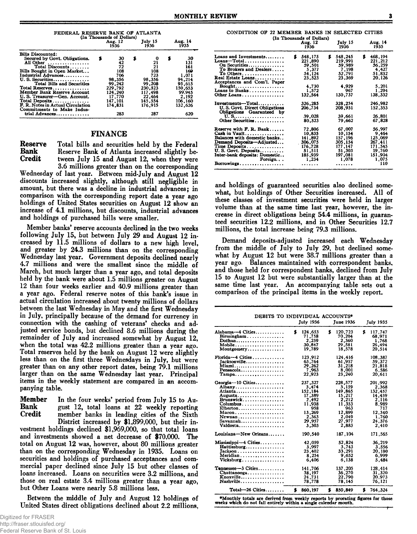| FEDERAL RESERVE BANK OF ATLANTA<br>(In Thousands of Dollars)                                                                                                                                                                                                                                                                                                                              |                                                                                                                    |                                                                                                               |                                                                                                                      |  |  |  |  |  |  |
|-------------------------------------------------------------------------------------------------------------------------------------------------------------------------------------------------------------------------------------------------------------------------------------------------------------------------------------------------------------------------------------------|--------------------------------------------------------------------------------------------------------------------|---------------------------------------------------------------------------------------------------------------|----------------------------------------------------------------------------------------------------------------------|--|--|--|--|--|--|
|                                                                                                                                                                                                                                                                                                                                                                                           | Aug. 12<br>1936                                                                                                    | July 15<br>1936                                                                                               | Aug. 14<br>1935                                                                                                      |  |  |  |  |  |  |
| <b>Bills Discounted:</b><br>Secured by Govt. Obligations.<br>All Other<br>Total Discounts<br>Bills Bought in Open Market<br>Industrial Advances<br>U.S. Securities<br>Total Bills and Securities<br>Total Reserves<br>Member Bank Reserve Account<br>U. S. Treasurer-Gen. Account.<br>Total Deposits<br>F. R. Notes in Actual Circulation<br>Commitments to Make Indus-<br>trial Advances | 30<br>5<br>42<br>72<br>108<br>706<br>98,356<br>99,242<br>229,792<br>124,240<br>17.770<br>147.101<br>174.831<br>283 | \$<br>21<br>21<br>108<br>723<br>98.356<br>99,208<br>230.523<br>117,498<br>22,464<br>145.554<br>176.915<br>287 | 30<br>ъ<br>131<br>161<br>169<br>1.071<br>94.214<br>95,615<br>150.653<br>99.945<br>2.192<br>106,160<br>132.626<br>620 |  |  |  |  |  |  |
|                                                                                                                                                                                                                                                                                                                                                                                           |                                                                                                                    |                                                                                                               |                                                                                                                      |  |  |  |  |  |  |

#### FINANCE

Reserve Total bills and securities held by the Federal Bank Reserve Bank of Atlanta increased slightly be-**Bank** Reserve Bank of Atlanta increased slightly be-<br>Credit tween July 15 and August 12, when they were tween July 15 and August 12, when they were 3.6 millions greater than on the corresponding

Wednesday of last year. Between mid-July and August 12 discounts increased slightly, although still negligible in amount, but there was a decline in industrial advances; in comparison with the corresponding report date a year ago holdings of United States securities on August 12 show an increase of 4.1 millions, but discounts, industrial advances and holdings of purchased bills were smaller.

Member banks' reserve accounts declined in the two weeks following July 15, but between July 29 and August 12 increased by 11 .5 millions of dollars to a new high level, and greater by 24.3 millions than on the corresponding Wednesday last year. Government deposits declined nearly 4.7 millions and were the smallest since the middle of March, but much larger than a year ago, and total deposits held by the bank were about 1.5 millions greater on August 12 than four weeks earlier and 40.9 millions greater than a year ago. Federal reserve notes of this bank's issue in actual circulation increased about twenty millions of dollars between the last Wednesday in May and the first Wednesday in July, principally because of the demand for currency in connection with the cashing of veterans' checks and adjusted service bonds, but declined 8.6 millions during the remainder of July and increased somewhat by August 12, when the total was 42.2 millions greater than a year ago. Total reserves held by the bank on August 12 were slightly less than on the first three Wednesdays in July, but were greater than on any other report dates, being 79.1 millions larger than on the same Wednesday last year. Principal items in the weekly statement are compared in an accompanying table.

Member In the four weeks' period from July 15 to Au-<br>Bank gust 12, total loans at 22 weekly reporting Bank gust 12, total loans at 22 weekly reporting<br>Credit member banks in leading cities of the Sixth member banks in leading cities of the Sixth District increased by \$1,899,000, but their investment holdings declined \$1,969,000, so that total loans and investments showed a net decrease of \$70,000. The total on August 12 was, however, about 80 millions greater than on the corresponding Wednesday in 1935. Loans on securities and holdings of purchased acceptances and commercial paper declined since July 15 but other classes of loans increased. Loans on securities were 3.2 millions, and those on real estate 3.4 millions greater than a year ago, but Other Loans were nearly 5.8 millions less.

Between the middle of July and August 12 holdings of United States direct obligations declined about 2.2 millions,

|                                                         | (In Thousands of Dollars)<br>Aug. 12<br>1936 | July 15<br>1936 | Aug. 14<br>1935 |
|---------------------------------------------------------|----------------------------------------------|-----------------|-----------------|
| Loans and Investments                                   | s<br>548,175                                 | S<br>548.245    | 468,194<br>S    |
| Loans-Total                                             | 221,890                                      | 219,991         | 221,212         |
| On Securities                                           | 59,501                                       | 59,989          | 56,259          |
| To Brokers and Dealers                                  | 5,377                                        | 7,198           | 4.427           |
| To Others<br>Real Estate Loans                          | 54.124                                       | 52,791          | 51.832          |
|                                                         | 23.523                                       | 23,369          | 20.126          |
| Acceptances and Com'l. Paper<br>Bought                  | 4,730                                        | 4.929           | 5,201           |
| Loans to Banks                                          | 1,572                                        | 967             | 1,294           |
| Other Loans                                             | 132,564                                      | 130,737         | 138.332         |
|                                                         |                                              |                 |                 |
| Investments—Total                                       | 326,285                                      | 328,254         | 246,982         |
| U.S. Govt. Direct Obligations                           | 206,734                                      | 208,931         | 152,353         |
| Obligations Guaranteed by                               |                                              |                 |                 |
|                                                         | 39,028                                       | 39,661          | 26,801          |
| Other Securities                                        | 80.523                                       | 79.662          | 67.828          |
| Reserve with F. R. Bank                                 | 72,806                                       | 67,007          | 56.997          |
| Cash in Vault                                           | 10.835                                       | 10.154          | 9.464           |
| Balances with domestic banks                            | 141,892                                      | 157, 196        | 125,069         |
| Demand Deposits—Adjusted                                | 306,075                                      | 305,154         | 267,411         |
| Time Deposits                                           | 176,728                                      | 177,147         | 171.545         |
| U. S. Govt. Deposits                                    | 51,511                                       | 51,303          | 19,760          |
| Inter-bank deposits: Domestic                           | 185,939                                      | 197.081         | 151,904         |
| Foreign                                                 | 1,234                                        | 1,078           | 1,075           |
| $\text{Borrowings} \dots \dots \dots \dots \dots \dots$ | .                                            | .               | 110             |

and holdings of guaranteed securities also declined somewhat, but holdings of Other Securities increased. All of these classes of investment securities were held in larger volume than at the same time last year, however, the increase in direct obligations being 54.4 millions, in guaranteed securities 12.2 millions, and in Other Securities 12.7 millions, the total increase being 79.3 millions.

Demand deposits-adjusted increased each Wednesday from the middle of July to July 29, but declined somewhat by August 12 but were 38.7 millions greater than a year ago. Balances maintained with correspondent banks, and those held for correspondent banks, declined from July 15 to August 12 but were substantially larger than at the same time last year. An accompanying table sets out a comparison of the principal items in the weekly report.

|                                                                  | DEBITS TO INDIVIDUAL ACCOUNTS*<br><b>July 1936</b>  | June 1936                                           | <b>July 1935</b>                                     |
|------------------------------------------------------------------|-----------------------------------------------------|-----------------------------------------------------|------------------------------------------------------|
| Alabama-4 Cities<br>Birmingham<br>Dothan<br>Mobile<br>Montgomery | £<br>124,653<br>71,758<br>2,259<br>30,847<br>19.789 | s<br>120,723<br>70,204<br>2.360<br>29,581<br>18.578 | 117.747<br>\$<br>68,971<br>1.768<br>26,494<br>20.514 |
| $Florida-4$ Cities                                               | 123,912                                             | 124,416                                             | 108,387                                              |
| Jacksonville                                                     | 63,764                                              | 61,957                                              | 59.372                                               |
| Miami                                                            | 29,262                                              | 31,218                                              | 21,818                                               |
| Pensacola                                                        | 7,963                                               | 8,001                                               | 6,586                                                |
| $Tampa \ldots \ldots \ldots \ldots$                              | 22,923                                              | 23.240                                              | 20.611                                               |
| Georgia-10 Cities                                                | 237,327                                             | 228,577                                             | 201,992                                              |
| Albany                                                           | 3,474                                               | 3,159                                               | 2,368                                                |
| Atlanta                                                          | 152,184                                             | 149,865                                             | 132,457                                              |
| Augusta                                                          | 17,389                                              | 15,217                                              | 14,459                                               |
| Brunswick                                                        | 2.492                                               | 2,212                                               | 2,116                                                |
| Columbus                                                         | 11,938                                              | 11,353                                              | 8,989                                                |
| Elberton                                                         | 958                                                 | 963                                                 | 717                                                  |
| Macon                                                            | 13,269                                              | 12,899                                              | 12,340                                               |
| Newnan                                                           | 2.363                                               | 2.049                                               | 1.760                                                |
| Savannah                                                         | 29.957                                              | 27.977                                              | 24.376                                               |
| Valdosta                                                         | 3,303                                               | 2.883                                               | 2,410                                                |
| Louisiana-New Orleans                                            | 190,540                                             | 187.104                                             | 171,565                                              |
| Mississippi-4 Cities                                             | 42.059                                              | 52.824                                              | 36.219                                               |
| Hattiesburg                                                      | 3,997                                               | 3,743                                               | 3,556                                                |
| Tackson                                                          | 23,402                                              | 33,291                                              | 20,180                                               |
| Meridian                                                         | 8.254                                               | 9.652                                               | 6.999                                                |
| Vicksburg                                                        | 6.406                                               | 6,138                                               | 5.484                                                |
| Tennessee-3 Cities                                               | 141.706                                             | 137,205                                             | 128,414                                              |
| Chattanooga                                                      | 38,197                                              | 36.270                                              | 31,320                                               |
| Knoxville                                                        | 24,731                                              | 22.790                                              | 20,973                                               |
| Nashville                                                        | 78,778                                              | 78.145                                              | 76,121                                               |
| Total-26 Cities                                                  | 860,197                                             | 850,849                                             | \$                                                   |
|                                                                  | s.                                                  | s                                                   | 764,324                                              |

♦Monthly totals are derived from weekly reports by prorating figures for those weeks which do not fall entirely within a single calendar month.  $\overline{r}$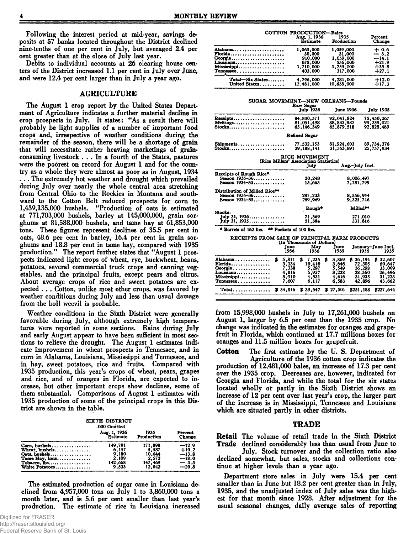Following the interest period at mid-year, savings deposits at 57 banks located throughout the District declined nine-tenths of one per cent in July, but averaged 2.4 per cent greater than at the close of July last year.

Debits to individual accounts at 26 clearing house centers of the District increased 1.1 per cent in July over June, and were 12.4 per cent larger than in July a year ago.

#### AGRICULTURE

The August 1 crop report by the United States Department of Agriculture indicates a further material decline in crop prospects in July. It states: " As a result there will probably be light supplies of a number of important food crops and, irrespective of weather conditions during the remainder of the season, there will be a shortage of grain that will necessitate rather heaving marketings of grainconsuming livestock . . . In a fourth of the States, pastures were the poorest on record for August 1 and for the country as a whole they were almost as poor as in August, 1934 . . . The extremely hot weather and drought which prevailed during July over nearly the whole central area stretching from Central Ohio to the Rockies in Montana and southward to the Cotton Belt reduced prospects for com to 1,439,135,000 bushels. " Production of oats is estimated at 771,703,000 bushels, barley at 145,000,000, grain sorghums at 81,588,000 bushels, and tame hay at 61,853,000 tons. These figures represent declines of 35.5 per cent in oats, 48.6 per cent in barley, 16.4 per cent in grain sorghums and 18.8 per cent in tame hay, compared with 1935 production." The report further states that "August 1 prospects indicated light crops of wheat, rye, buckwheat, beans, potatoes, several commercial truck crops and canning vegetables, and the principal fruits, except pears and citrus. About average crops of rice and sweet potatoes are expected . . . Cotton, unlike most other crops, was favored by weather conditions during July and less than usual damage from the boll weevil is probable.

Weather conditions in the Sixth District were generally favorable during July, although extremely high temperatures were reported in some sections. Rains during July and early August appear to have been sufficient in most sections to relieve the drought. The August 1 estimates indicate improvement in wheat prospects in Tennessee, and in corn in Alabama, Louisiana, Mississippi and Tennessee, and in hay, sweet potatoes, rice and fruits. Compared with 1935 production, this year's crops of wheat, pears, grapes and rice, and of oranges in Florida, are expected to increase, but other important crops show declines, some of them substantial. Comparisons of August 1 estimates with 1935 production of some of the principal crops in this District are shown in the table.

| SIXTH DISTRICT |
|----------------|
| 888 B.J.L.I    |

|                                                          | .000 Omitted<br>Aug. 1, 1936<br><b>Estimate</b> | 1935<br>Production | Percent<br><b>Change</b> |
|----------------------------------------------------------|-------------------------------------------------|--------------------|--------------------------|
| Corn. bushels                                            | 149.791                                         | 171.898            | $-12.9$                  |
| Wheat. bushels                                           | 6.157                                           | 5.587              | $+10.2$                  |
| Oats, bushels                                            | 9.180                                           | 10.644             | $-13.8$                  |
| Tame Hay, tons                                           | 2,109                                           | 2,572              | $-18.0$                  |
| Tobacco, $\text{lbs} \ldots \ldots \ldots \ldots \ldots$ | 142,668                                         | 147,469            | $-3.3$                   |
| White Potatoes                                           | 9.533                                           | 12,042             | $-20.8$                  |

The estimated production of sugar cane in Louisiana declined from  $4,957,000$  tons on July 1 to 3,860,000 tons a month later, and is 5.6 per cent smaller than last year's production. The estimate of rice in Louisiana increased

|                                                                        | COTTON PRODUCTION-Bales<br>Aug. 1, 1936<br><b>Estimate</b>        | 1935<br>Production                                                  | Percent<br><b>Change</b>                                    |
|------------------------------------------------------------------------|-------------------------------------------------------------------|---------------------------------------------------------------------|-------------------------------------------------------------|
| Alabama<br>Florida<br>Georgia<br>Louisiana<br>Mississippi<br>Tennessee | 1,065,000<br>30,000<br>910,000<br>678,000<br>1.710.000<br>403,000 | 1.059.000<br>31,000<br>1,059,000<br>556,000<br>1,259,000<br>317,000 | $+0.6$<br>$-3.2$<br>$-14.1$<br>$+21.9$<br>$\frac{1}{27}$ .8 |
| Total-Six States<br>United States                                      | 4,796,000<br>12,481,000                                           | 4,281,000<br>10.638.000                                             | $+12.0$<br>$+17.3$                                          |

SUGAR MOVEMENT—NEW ORLEANS—Pounds

|                                               | Raw Sugar<br><b>July 1936</b>          | <b>June 1936</b> | <b>July 1935</b> |
|-----------------------------------------------|----------------------------------------|------------------|------------------|
| Receipts                                      | 84.830.571                             | 92,041.824       | 75,450,267       |
| Meltings                                      | 81,051,498                             | 88,832,982       | 99, 239, 021     |
| Stocks                                        | 65.146.349                             | 65.879.518       | 92,828,489       |
|                                               | Refined Sugar                          |                  |                  |
| Shipments                                     | 77.532.153                             | 81,924,603       | 89,734,376       |
| Stocks                                        | 29.188.141                             | 31,353,891       | 25.757.934       |
|                                               | RICE MOVEMENT                          |                  |                  |
|                                               | (Rice Millers' Association Statistics) |                  |                  |
|                                               | July                                   | Aug.-July Incl.  |                  |
| Receipts of Rough Rice*                       |                                        |                  |                  |
| Season 1935-36                                | 20,248                                 | 8,006,497        |                  |
| Season 1934-35                                | 13.665                                 | 7.781.799        |                  |
| Distribution of Milled Rice**                 |                                        |                  |                  |
| Season 1935-36                                | 287,233                                | 8,556,944        |                  |
| Season 1934-35                                | 269,969                                | 9,325,746        |                  |
|                                               | Rough <sup>®</sup>                     | <b>Milled**</b>  |                  |
| Stocks:                                       |                                        |                  |                  |
| July 31, 1936                                 | 71,369                                 |                  | 271,010          |
| July 31, 1935.                                | 51.384                                 |                  | 331,816          |
| * Barrels of 162 lbs. ** Pockets of 100 lbs.  |                                        |                  |                  |
| RECEIPTS FROM SALE OF PRINCIPAL FARM PRODUCTS | (In Thousands of Dollars)              |                  |                  |

|                                                                        | (In Thousands of Dollars)<br>June<br>1936          | Mav<br>1936                                         |   | Tune<br>1935                                       | 1936                                                     | January-June Incl.<br>1935                                 |
|------------------------------------------------------------------------|----------------------------------------------------|-----------------------------------------------------|---|----------------------------------------------------|----------------------------------------------------------|------------------------------------------------------------|
| Alabama<br>Florida<br>Georgia<br>Louisiana<br>Mississippi<br>Tennessee | 5.811<br>3.334<br>7.338<br>4.816<br>5.910<br>7.607 | 7.235<br>10.410<br>5.297<br>5.957<br>4.531<br>6,117 | Б | 3,869<br>3.646<br>5.549<br>3,238<br>4.616<br>6,583 | 36.194<br>72,305<br>36.298<br>28,560<br>34.935<br>42.896 | \$32,607<br>60.647<br>33,009<br>26.496<br>31,223<br>43,662 |
| $Total$                                                                | $$34,816$ \$ 39,547                                |                                                     |   | \$ 27,501                                          | \$251.188                                                | \$227.644                                                  |

from  $15,998,000$  bushels in July to  $17,261,000$  bushels on August 1, larger by 6.5 per cent than the 1935 crop. No change was indicated in the estimates for oranges and grapefruit in Florida, which continued at 17.7 millions boxes for oranges and 11.5 million boxes for grapefruit.

Cotton The first estimate by the U. S. Department of Agriculture of the 1936 cotton crop indicates the production of 12,481,000 bales, an increase of 17.3 per cent over the 1935 crop. Decreases are, however, indicated for Georgia and Florida, and while the total for the six states located wholly or partly in the Sixth District shows an increase of 12 per cent over last year's crop, the larger part of the increase is in Mississippi, Tennessee and Louisiana which are situated partly in other districts.

#### TRADE

Retail The volume of retail trade in the Sixth District Trade declined considerably less than usual from June to

July. Stock turnover and the collection ratio also declined somewhat, but sales, stocks and collections continue at higher levels than a year ago.

Department store sales in July were 15.4 per cent smaller than in June but 18.2 per cent greater than in July, 1935, and the unadjusted index of July sales was the highest for that month since 1928. After adjustment for the usual seasonal changes, daily average sales of reporting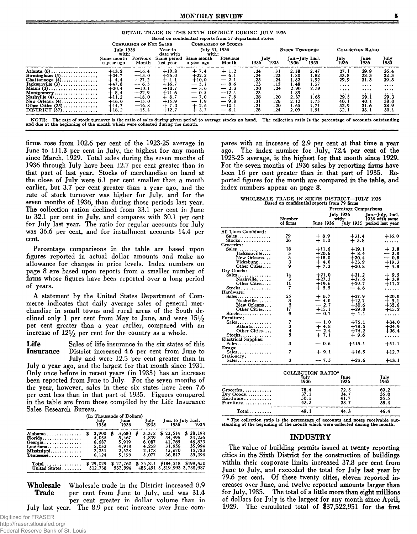|  | RETAIL TRADE IN THE SIXTH DISTRICT DURING JULY 1936     |  |  |
|--|---------------------------------------------------------|--|--|
|  | Based on confidential reports from 57 department stores |  |  |
|  |                                                         |  |  |

|                                   |                                       |                                                                                                                                                               | July 31, 1936                                                                                                                 |                             |                   | <b>STOCK TURNOVER</b>     |                      |                                         | <b>COLLECTION RATIO</b> |                              |
|-----------------------------------|---------------------------------------|---------------------------------------------------------------------------------------------------------------------------------------------------------------|-------------------------------------------------------------------------------------------------------------------------------|-----------------------------|-------------------|---------------------------|----------------------|-----------------------------------------|-------------------------|------------------------------|
| with:<br>Same month<br>a year ago | date with<br>Same period<br>last vear | with:<br>Same month<br>a vear ago                                                                                                                             | Previous<br>Month                                                                                                             | 1936                        | 1935              | 1936                      | 1935                 | July<br>1936                            | June<br>1936            | July<br>1935                 |
| $+13.8$<br>$+34.7$                | $+10.8$<br>$+26.0$                    | $+7.4$<br>$+22.2$                                                                                                                                             | $+1.2$<br>$-6.1$                                                                                                              | .34<br>.24                  | .31<br>.23        | 2.58<br>1.80              | 2.47<br>1.82         | 27.1<br>33.8                            | 29.9<br>38.3            | 26.4<br>32.3                 |
| $+4.4$<br>$+47.8$                 | $+4.1$<br>$+16.7$                     | $+10.0$<br>$-5.1$                                                                                                                                             | $-2.1$<br>$-8.6$                                                                                                              | .23<br>.23                  | .24<br>. 15       | 1.82<br>1.48              | 1.92<br>1.27         | 29.9<br>$\cdots$                        | 31.3<br>$\cdots$        | 29.3<br>                     |
| $+8.4$                            | $+11.6$                               | $-0.5$                                                                                                                                                        | $-12.4$                                                                                                                       | .23                         | $\cdots$          | 1.89                      | $\cdots$             | $\cdots$<br>$\cdots$                    | $\cdots$<br>$\cdots$    | $\cdots$<br>$\cdots$<br>29.3 |
| $+16.0$                           | $+15.9$                               | $-1.9$                                                                                                                                                        | $-9.8$                                                                                                                        | .31                         | .26               | 2.12                      | 1.75                 | 40.1                                    | 40.1                    | 38.0<br>28.9                 |
| $+18.2$                           | $+12.7$                               | $+3.7$                                                                                                                                                        | $-6.1$                                                                                                                        | .28                         | .24               | 2.09                      | 1.91                 | 32.1                                    | 33.1                    | 30.1                         |
|                                   | $+20.4$<br>$+11.2$<br>$+14.7$         | Previous<br>Month<br>$-16.4$<br>$-13.0$<br>$-27.2$<br>$-6.3$<br>$+10.7$<br>$-10.1$<br>$-22.9$<br>$-18.0$<br>$+8.7$<br>$-15.0$<br>$-16.8$<br>$+7.0$<br>$-15.4$ | $-3.6$<br>$-7.0$<br>$+2.6$<br>The rate of stock turnover is the ratio of sales during given period to average stocks on hand. | $-2.3$<br>$-7.8$<br>$-10.1$ | .30<br>.28<br>.21 | July<br>.24<br>.20<br>.20 | 2.90<br>2.37<br>1.65 | Jan.-July Incl.<br>2.59<br>1.65<br>1.71 | 29.5<br>32.9            | 29.1<br>31.6                 |

firms rose from 102.6 per cent of the 1923-25 average in June to 111.3 per cent in July, the highest for any month since March, 1929. Total sales during the seven months of 1936 through July have been 12.7 per cent greater than in that part of last year. Stocks of merchandise on hand at the close of July were 6.1 per cent smaller than a month earlier, but 3.7 per cent greater than a year ago, and the rate of stock turnover was higher for July, and for the seven months of 1936, than during those periods last year. The collection ration declined from 33.1 per cent in June to 32.1 per cent in July, and compares with 30.1 per cent<br>for July last year. The ratio for regular accounts for July was 36.6 per cent, and for installment accounts 14.4 per cent.

and due at the beginning of the month which were collected during the month.

Percentage comparisons in the table are based upon figures reported in actual dollar amounts and make no allowance for changes in price levels. Index numbers on page 8 are based upon reports from a smaller number of firms whose figures have been reported over a long period of years.

A statement by the United States Department of Commerce indicates that daily average sales of general merchandise in small towns and rural areas of the South declined only 1 per cent from May to June, and were  $15\frac{1}{2}$ per cent greater than a year earlier, compared with an increase of  $12\frac{1}{2}$  per cent for the country as a whole.

Life Sales of life insurance in the six states of this **Insurance** District increased 4.6 per cent from June to July and were 12.5 per cent greater than in

July a year ago, and the largest for that month since 1931. Only once before in recent years (in 1933) has an increase been reported from June to July. For the seven months of the year, however, sales in these six states have been 7.6 per cent less than in that part of 1935. Figures compared in the table are from those compiled by the Life Insurance Sales Research Bureau.

|                                                                                                         |                                                    |   | (In Thousands of Dollars)                          |   |                                                    |                                                            |                                                            |
|---------------------------------------------------------------------------------------------------------|----------------------------------------------------|---|----------------------------------------------------|---|----------------------------------------------------|------------------------------------------------------------|------------------------------------------------------------|
|                                                                                                         | July<br>1936                                       |   | Tune<br>1936                                       |   | July<br>1935                                       | 1936                                                       | Jan. to July Incl.<br>1935                                 |
| Alabama<br>Florida<br>Georgia<br>Louisiana<br>Mississippi<br>$T$ ennessee $\ldots \ldots \ldots \ldots$ | 3,900<br>5.035<br>6.687<br>5.032<br>2,251<br>6.124 | ъ | 3.680<br>5.467<br>5,919<br>4.918<br>2.578<br>5,198 | 8 | 3.372<br>4.839<br>6.087<br>4.258<br>2.178<br>5.077 | \$23.514<br>34,496<br>41.765<br>31.956<br>15,670<br>36.817 | \$28,198<br>33.256<br>46.823<br>35,994<br>15,783<br>39,396 |
| $Total$<br>United States                                                                                | \$29,029<br>512.738                                |   | \$27.760<br>532.994                                |   | \$25,811                                           | \$184,218<br>483,491 3,519,993 3,738,987                   | \$199.450                                                  |

Wholesale Wholesale trade in the District increased 8.9 **Trade** per cent from June to July, and was 31.4 per cent greater in dollar volume than in July last year. The 8.9 per cent increase over June compares with an increase of 2.9 per cent at that time a year ago. The index number for July, 72.4 per cent of the 1923-25 average, is the highest for that month since 1929. For the seven months of 1936 sales by reporting firms have been 16 per cent greater than in that part of 1935. Reported figures for the month are compared in the table, and index numbers appear on page 8.

WHOLESALE TRADE IN SIXTH DISTRICT-JULY 1936<br>Based on confidential reports from 79 firms

|                              |               | Percentage Comparisons |                    |                                   |  |  |  |  |
|------------------------------|---------------|------------------------|--------------------|-----------------------------------|--|--|--|--|
|                              | Number        |                        | July 1936<br>with: | Jan-July, Incl.<br>1936 with same |  |  |  |  |
|                              | of firms      | <b>June 1936</b>       |                    | July 1935 period last year        |  |  |  |  |
| All Lines Combined:          |               |                        |                    |                                   |  |  |  |  |
| $Sales$                      | 79            | $+8.9$                 | $+31.4$            | $+16.0$                           |  |  |  |  |
|                              | 26            | $+1.0$                 | $+5.8$             |                                   |  |  |  |  |
| Groceries:                   |               |                        |                    |                                   |  |  |  |  |
| $Sales \ldots \ldots \ldots$ | 18            | $+11.6$                | $+19.1$            | $+3.8$                            |  |  |  |  |
| Tacksonville                 |               | $+20.6$                | $+8.4$             | $-3.8$                            |  |  |  |  |
| New Orleans                  |               | $+18.0$                | $+20.4$            | $-0.8$                            |  |  |  |  |
| $V$ icksburg                 | 3<br>3<br>3   | $+4.0$                 | $+23.9$            | $+19.3$                           |  |  |  |  |
| Other Cities                 | 9             | $+7.3$                 | $+20.8$            | $+4.8$                            |  |  |  |  |
| Drv Goods:                   |               |                        |                    |                                   |  |  |  |  |
| $Sales$                      | 14            | $+21.0$                | $+31.2$            | $+9.5$                            |  |  |  |  |
| Nashville                    | 3             | $+27.3$                | $+37.6$            | $+3.9$                            |  |  |  |  |
| Other Cities                 | 11            | $+19.6$                | $+29.7$            | $+11.2$                           |  |  |  |  |
| Stocks                       | 7             | $+5.5$                 | $-4.6$             |                                   |  |  |  |  |
| Hardware:                    |               |                        |                    |                                   |  |  |  |  |
| Sales                        | 25            | $+ 6.7$                | $+27.9$            | $+20.0$                           |  |  |  |  |
| Nashville                    | 3             | $-4.0$                 | $+12.7$            | $+ 5.1$                           |  |  |  |  |
| New Orleans                  | 5             | $-2.7$                 | $+30.6$            | $+35.6$                           |  |  |  |  |
| Other Cities                 | 17            | $+15.1$                | $+29.0$            |                                   |  |  |  |  |
| $Stocks$                     | 9             | $-0.7$                 | $+1.1$             | $+15.2$                           |  |  |  |  |
| Furniture:                   |               |                        |                    |                                   |  |  |  |  |
|                              | 7             | $-1.0$                 | $+75.1$            | $+34.0$                           |  |  |  |  |
| Sales                        |               | $+4.8$                 | $+78.5$            | $+24.9$                           |  |  |  |  |
| Atlanta                      | $\frac{3}{4}$ |                        |                    |                                   |  |  |  |  |
| Other Cities                 | 5             | $-2.4$                 | $+74.2$            | $+36.4$                           |  |  |  |  |
| Stocks                       |               | $+7.1$                 | $+9.6$             | .                                 |  |  |  |  |
| Electrical Supplies:         |               |                        |                    |                                   |  |  |  |  |
| Sales                        | 3             | $-0.6$                 | $+115.1$           | $+51.1$                           |  |  |  |  |
| Drugs:                       | 7             |                        |                    |                                   |  |  |  |  |
| Sales                        |               | $+9.1$                 | $+16.5$            | $+12.7$                           |  |  |  |  |
| Stationery:                  | 3             | $-7.5$                 |                    |                                   |  |  |  |  |
| Sales                        |               |                        | $+23.6$            | $+13.1$                           |  |  |  |  |

|           | COLLECTION RATIO* |              |              |
|-----------|-------------------|--------------|--------------|
|           | July<br>1936      | June<br>1936 | July<br>1935 |
| Groceries | 78.4              | 72.5         | 69.2         |
| Dry Goods | 37.1              | 34.7         | 35.0         |
| Hardware  | 50.1              | 41.7         | 35.5         |
| Furniture | 43.5              | 38.7         | 38.4         |
| Total     |                   |              |              |

\* The collection ratio is the percentage of accounts and notes receivable out-<br>standing at the beginning of the month which were collected during the month.

#### **INDUSTRY**

The value of building permits issued at twenty reporting cities in the Sixth District for the construction of buildings within their corporate limits increased 37.8 per cent from June to July, and exceeded the total for July last year by 79.6 per cent. Of these twenty cities, eleven reported increases over June, and twelve reported amounts larger than for July, 1935. The total of a little more than eight millions of dollars for July is the largest for any month since April, 1929. The cumulated total of \$37,522,951 for the first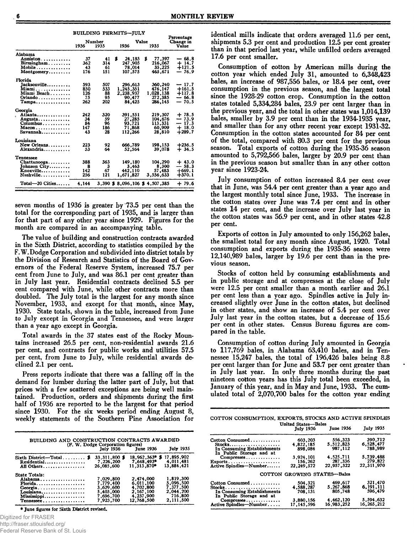|                                       | BUILDING PERMITS—JULY |                |                                 |               |                                  |
|---------------------------------------|-----------------------|----------------|---------------------------------|---------------|----------------------------------|
|                                       | 1936                  | Number<br>1935 | 1936                            | Value<br>1935 | Percentage<br>Change in<br>Value |
| Alabama                               |                       |                |                                 |               |                                  |
| Anniston                              | 37                    | 41             | 24,185<br>ж                     | S<br>77.397   | — 68.8                           |
| $\text{Birmingham} \dots \dots \dots$ | 362                   | 314            | 247.905                         | 216,067       | $+14.7$                          |
| Mobile                                | 43                    | 61             | 78.014                          | 35.225        | $+121.5$                         |
| Montgomery                            | 176                   | 151            | 107,575                         | 465.671       | $-76.9$                          |
| <b>Florida</b>                        |                       |                |                                 |               |                                  |
| Jacksonville                          | 593                   | 507            | 296.613                         | 360,240       | $-17.7$                          |
| Miami <b>.</b> .                      | 850                   | 533            | 1.245.351                       | 476.147       | $+161.5$                         |
| Miami Beach                           | 126                   | 88             | 2,238,937                       | 1.028.138     | +117.8                           |
| Orlando                               | 75                    | 95             | 90,477                          | 272,385       | $-66.8$                          |
| Tampa                                 | 262                   | 202            | 84.425                          | 286,145       | $-70.5$                          |
| Georgia                               |                       |                |                                 |               |                                  |
| . Atlanta                             | 242                   | 320            | 391,551                         | 219.307       | $+78.5$                          |
| Augusta                               | 34                    | 59             | 27,285                          | 104.676       | $-73.9$                          |
| Columbus                              | 84                    | 96             | 93,721                          | 113,331       | $-17.3$                          |
| $Macon$                               | 147                   | 186            | 71,868                          | 60,909        | $+18.0$                          |
| Savannah                              | 43                    | 28             | 112,266                         | 28,810        | $+289.7$                         |
| Louisiana                             |                       |                |                                 |               |                                  |
| New Orleans                           | 223                   | 92             | 666.789                         | 198.153       | $+236.5$                         |
| Alexandria                            | 53                    | 64             | 52,564                          | 39,078        | $+34.5$                          |
| Tennessee                             |                       |                |                                 |               |                                  |
| Chattanooga                           | 388                   | 363            | 149.180                         | 104,290       | $+43.0$                          |
| Johnson City                          | 8                     | 3              | 3.463                           | 8,300         | $-58.3$                          |
| Knoxville                             | 142                   | 67             | 442.110                         | 57,483        | $+669.1$                         |
| Nashville                             | 256                   | 121            | 1,671.827                       | 3,556,633     | $+370.1$                         |
| $Total=20$ Cities                     | 4.144                 |                | 3,390 \$ 8,096,106 \$ 4,507,385 |               | $+79.6$                          |

seven months of 1936 is greater by 73.5 per cent than the total for the corresponding part of 1935, and is larger than for that part of any other year since 1929. Figures for the month are compared in an accompanying table.

The value of building and construction contracts awarded in the Sixth District, according to statistics compiled by the F.W.Dodge Corporation and subdivided into district totals by the Division of Research and Statistics of the Board of Governors of the Federal Reserve System, increased 75.7 per cent from June to July, and was 86.1 per cent greater than in July last year. Residential contracts declined 5.5 per cent compared with June, while other contracts more than doubled. The July total is the largest for any month since November, 1933, and except for that month, since May, 1930. State totals, shown in the table, increased from June to July except in Georgia and Tennessee, and were larger than a year ago except in Georgia.

Total awards in the 37 states east of the Rocky Mountains increased 26.5 per cent, non-residential awards 21.6 per cent, and contracts for public works and utilities 57.5 per cent, from June to July, while residential awards declined 2.1 per cent.

Press reports indicate that there was a falling off in the demand for lumber during the latter part of July, but that prices with a few scattered exceptions are being well maintained. Production, orders and shipments during the first half of 1936 are reported to be the largest for that period since 1930. For the six weeks period ending August 8, weekly statements of the Southern Pine Association for

| BUILDING AND CONSTRUCTION CONTRACTS AWARDED<br>(F. W. Dodge Corporation figures)<br>July 1936 June 1936<br><b>July 1935</b> |                                                  |                                                  |                                     |  |  |  |  |
|-----------------------------------------------------------------------------------------------------------------------------|--------------------------------------------------|--------------------------------------------------|-------------------------------------|--|--|--|--|
| Sixth District-Total \$<br>Residential                                                                                      | 33,311,800 \$<br>7.226.200                       | 18.962.363*<br>7.648.493*                        | 17,895,902<br>s<br>4.011.481        |  |  |  |  |
| All Others<br>State Totals:                                                                                                 | 26,085,600                                       | 11.313.870*                                      | 13,884,421<br>1,819,300             |  |  |  |  |
| Alabama<br>Florida<br>Georgia                                                                                               | 7.029.800<br>7.779.400<br>3.629.600<br>5,403,000 | 2,474,000<br>6.011.100<br>4,702,800<br>2,167,100 | 5,096,500<br>7.377.500<br>2.044.200 |  |  |  |  |
| Louisiana<br>Mississippi<br>Tennessee                                                                                       | 7,696,700<br>7,923,700                           | 4.237.900<br>12,768,500                          | 716,800<br>2.111.500                |  |  |  |  |

\* June figures for Sixth District revised.

Digitized for FRASER

http://fraser.stlouisfed.org/

identical mills indicate that orders averaged 11.6 per cent, shipments 5.3 per cent and production 12.5 per cent greater than in that period last year, while unfilled orders averaged 17.6 per cent smaller.

Consumption of cotton by American mills during the cotton year which ended July 31, amounted to 6,348,423 bales, an increase of 987,556 bales, or 18.4 per cent, over consumption in the previous season, and the largest total since the 1928-29 cotton crop. Consumption in the cotton<br>states totaled 5,334,284 bales, 23.9 per cent larger than in the previous year, and the total in other states was 1,014,139 bales, smaller by 3.9 per cent than in the 1934-1935 year, and smaller than for any other recent year except 1931-32. Consumption in the cotton states accounted for 84 per cent of the total, compared with 80.3 per cent for the previous season. Total exports of cotton during the 1935-36 season amounted to 5,792,566 bales, larger by 20.9 per cent than in the previous season but smaller than in any other cotton year since 1923-24.

July consumption of cotton increased 8.4 per cent over that in June, was 54.4 per cent greater than a year ago and the largest monthly total since June, 1933. The increase in the cotton states over June was 7.4 per cent and in other states 14 per cent, and the increase over July last year in the cotton states was 56.9 per cent, and in other states 42.8 per cent.

Exports of cotton in July amounted to only 156,262 bales, the smallest total for any month since August, 1920. Total consumption and exports during the 1935-36 season were 12,140,989 bales, larger by 19.6 per cent than in the previous season.

Stocks of cotton held by consuming establishments and in public storage and at compresses at the close of July were 12.5 per cent smaller than a month earlier and 26.1 per cent less than a year ago. Spindles active in July increased slightly over June in the cotton states, but declined in other states, and show an increase of 5.4 per cent over July last year in the cotton states, but a decrease of 15.6 per cent in other states. Census Bureau figures are compared in the table.

Consumption of cotton during July amounted in Georgia to 117,769 bales, in Alabama 63,410 bales, and in Tennessee 15,247 bales, the total of 196,426 bales being 8.8 per cent larger than for June and 53.7 per cent greater than in July last year. In only three months during the past nineteen cotton years has this July total been exceeded, in January of this year, and in May and June, 1933. The cumulated total of 2,070,700 bales for the cotton year ending

COTTON CONSUMPTION, EXPORTS, STOCKS AND ACTIVE SPINDLES United States-Bales

|                                                         | <b>Umrega Otacco</b> Deseg<br><b>July 1936</b> | <b>June 1936</b> | <b>July 1935</b> |
|---------------------------------------------------------|------------------------------------------------|------------------|------------------|
| Cotton Consumed                                         | 603,203                                        | 556.323          | 390.712          |
|                                                         | 4.822.185                                      | 5,512,823        | 6.528,477        |
| In Consuming Establishments<br>In Public Storage and at | 898.084                                        | 987.112          | 788,989          |
| $Compresses \ldots \ldots$                              | 3.924.101                                      | 4.525.711        | 5.739.488        |
| Exports                                                 | 156.262                                        | 287,336          | 279.822          |
| Active Spindles-Number                                  | 22,249,572                                     | 22,957,322       | 22,311,970       |
|                                                         | COTTON GROWING STATES-Bales                    |                  |                  |
| Cotton Consumed                                         | 504.321                                        | 469.617          | 321,470          |
| $Stocks.$                                               | 4.588.287                                      | 5,267,868        | 6.191.111        |
| In Consuming Establishments<br>In Public Storage and at | 708,131                                        | 805,748          | 596,479          |
| Compresses                                              | 3,880,156                                      | 4.462.120        | 5,594,632        |
| Active Spindles-Number                                  | 17.145.596                                     | 16.983.252       | 16,265,212       |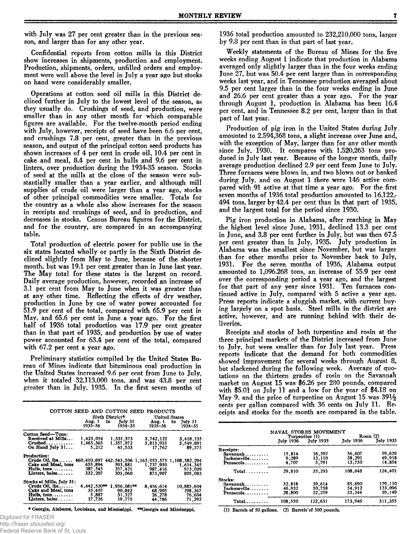with July was 27 per cent greater than in the previous season, and larger than for any other year.

Confidential reports from cotton mills in this District show increases in shipments, production and employment. Production, shipments, orders, unfilled orders and employment were well above the level in July a year ago but stocks on hand were considerably smaller.

Operations at cotton seed oil mills in this District declined further in July to the lowest level of the season, as they usually do. Crushings of seed, and production, were smaller than in any other month for which comparable figures are available. For the twelve-month period ending with July, however, receipts of seed have been 6.6 per cent, and crushings 7.8 per cent, greater than in the previous season, and output of the principal cotton seed products has shown increases of 4 per cent in crude oil, 10.4 per cent in cake and meal, 8.4 per cent in hulls and 9.6 per cent in linters, over production during the 1934-35 season. Stocks of seed at the mills at the close of the season were substantially smaller than a year earlier, and although mill supplies of crude oil were larger than a year ago, stocks of other principal commodities were smaller. Totals for the country as a whole also show increases for the season in receipts and crushings of seed, and in production, and decreases in stocks. Census Bureau figures for the District, and for the country, are compared in an accompanying table.

Total production of electric power for public use in the six states located wholly or partly in the Sixth District declined slightly from May to June, because of the shorter month, but was 19.1 per cent greater than in June last year. The May total for these states is the largest on record. Daily average production, however, recorded an increase of 3.1 per cent from May to June when it was greater than at any other time. Reflecting the effects of dry weather, production in June by use of water power accounted for 51.9 per cent of the total, compared with 65.9 per cent in May, and 65.6 per cent in June a year ago. For the first half of 1936 total production was 17.9 per cent greater than in that part of 1935, and production by use of water power accounted for 63.4 per cent of the total, compared with 67.2 per cent a year ago.

Preliminary statistics compiled by the United States Bureau of Mines indicate that bituminous coal production in the United States increased 9.6 per cent from June to July, when it totaled 32,113,000 tons, and was 43.8 per cent greater than in July, 1935. In the first seven months of

|                               |                   |                                | COTTON SEED AND COTTON SEED PRODUCTS |                                                 |
|-------------------------------|-------------------|--------------------------------|--------------------------------------|-------------------------------------------------|
|                               |                   | Sixth District*                |                                      | <b>United States</b>                            |
|                               | Aug. 1<br>1935–36 | to $\text{Iulv} 31$<br>1934–35 | Aug. 1<br>1935–36                    | to<br>July 31<br>1934-35                        |
| Cotton Seed—Tons:             |                   |                                |                                      |                                                 |
| Received at Mills             | 1,423,054         | 1.335,573                      | 3,742,122                            | 3,418,135                                       |
| Crushed                       | 1,463,365         | 1,357,972                      | 3,813,935                            | 3,549,891                                       |
| On Hand July $31$             | 5.212             | 45.533                         | 17.762                               | 89,575                                          |
| <b>Production:</b>            |                   |                                |                                      |                                                 |
| $Crude$ Oil, $1bs$            | 460,410,697       |                                |                                      | 442, 543, 506 1, 163, 055, 575 1, 108, 582, 294 |
| Cake and Meal, tons           | 655.894           | 593.881                        | 1,737,950                            | 1,614,345                                       |
| Hulls, tons                   | 387.545           | 357.421                        | 987,416                              | 913,039                                         |
| Linters, bales                | 332,207           | 303.060                        | 873.907                              | 805,083                                         |
| Stocks at Mills, July 31:     |                   |                                |                                      |                                                 |
| Crude Oil, Ibs                | 4,442,530**       | $1.956.081**$                  | 8,456,614                            | 10,885,604                                      |
| Cake and Meal, tons           | 35.407            | 90.842                         | 68,905                               | 198,367                                         |
| $Hulls, tons, \ldots, \ldots$ | 5,887             | 31.327                         | 26,278                               | 76,604                                          |
| Linters, bales                | 17,726            | 19,775                         | 44.786                               | 71.292                                          |

**\* Georgia, Alabam a, Louisiana, and M ississippi. \*\*G eorgia and M ississippi. (1) Barrels af 50 gallons. (2) Barrels'of 500 pounds.**

Digitized for FRASER http://fraser.stlouisfed.org/

Federal Reserve Bank of St. Louis

1936 total production amounted to 232,210,000 tons, larger by 9.8 per cent than in that part of last year.

Weekly statements of the Bureau of Mines for the five weeks ending August 1 indicate that production in Alabama averaged only slightly larger than in the four weeks ending June 27, but was 50.4 per cent larger than in corresponding weeks last year, and in Tennessee production averaged about 9.5 per cent larger than in the four weeks ending in June and 26.6 per cent greater than a year ago. For the year through August 1, production in Alabama has been 16.4 per cent, and in Tennessee 8.2 per cent, larger than in that part of last year.

Production of pig iron in the United States during July amounted to 2,594,368 tons, a slight increase over June and, with the exception of May, larger than for any other month since July, 1930. It compares with 1,520,263 tons produced in July last year. Because of the longer month, daily average production declined 2.9 per cent from June to July. Three furnaces were blown in, and two blown out or banked during July, and on August 1 there were 146 active compared with 91 active at that time a year ago. For the first seven months of 1936 total production amounted to 16,122,- 494 tons, larger by 42.4 per cent than in that part of 1935, and the largest total for the period since 1930.

Pig iron production in Alabama, after reaching in May the highest level since June, 1931, declined 13.3 per cent in June, and 3.8 per cent further in July, but was then 67.5 per cent greater than in July, 1935. July production in Alabama was the smallest since November, but was larger than for other months prior to November back to July, 1931. For the seven months of 1936, Alabama output amounted to 1,096,268 tons, an increase of 55.9 per cent over the corresponding period a year ago, and the largest for that part of any year since 1931. Ten furnaces continued active in July, compared with 5 active a year ago. Press reports indicate a sluggish market, with current buying largely on a spot basis. Steel mills in the district are active, however, and are running behind with their deliveries.

Receipts and stocks of both turpentine and rosin at the three principal markets of the District increased from June to July, but were smaller than for July last year. Press reports indicate that the demand for both commodities showed improvement for several weeks through August 8, but slackened during the following week. Average of quotations on the thirteen grades of rosin on the Savannah market on August 15 was \$6.26 per 280 pounds, compared with \$5.01 on July 11 and a low for the year of \$4.18 on May 9, and the price of turpentine on August 15 was  $39\frac{1}{2}$ cents per gallon compared with 36 cents on July 11. Receipts and stocks for the month are compared in the table.

|                          | NAVAL STORES MOVEMENT | Turpentine (1) | Rosin (2)        |                  |  |
|--------------------------|-----------------------|----------------|------------------|------------------|--|
|                          | July 1936             | Tuly 1935      | <b>July 1936</b> | <b>July 1935</b> |  |
| Receipts:                |                       |                |                  |                  |  |
| $Savan1, \ldots, \ldots$ | 15.814                | 16,392         | 56.607           | 59,629           |  |
| Jacksonville             | 9.289                 | 13.110         | 38,291           | 49.918           |  |
| Pensacola                | 4.707                 | 5.791          | 13.750           | 14.854           |  |
| Total                    | 29,810                | 35,293         | 108,648          | 124,401          |  |
| Stocks:                  |                       |                |                  |                  |  |
| $Savannah$               | 32.818                | 39.614         | 85,690           | 129,110          |  |
| Jacksonville             | 46.932                | 50.758         | 54.912           | 123.096          |  |
| Pensacola                | 28.800                | 32,259         | 33.344           | 59.149           |  |
|                          | 108.550               | 122,631        | 173.946          | 311,355          |  |